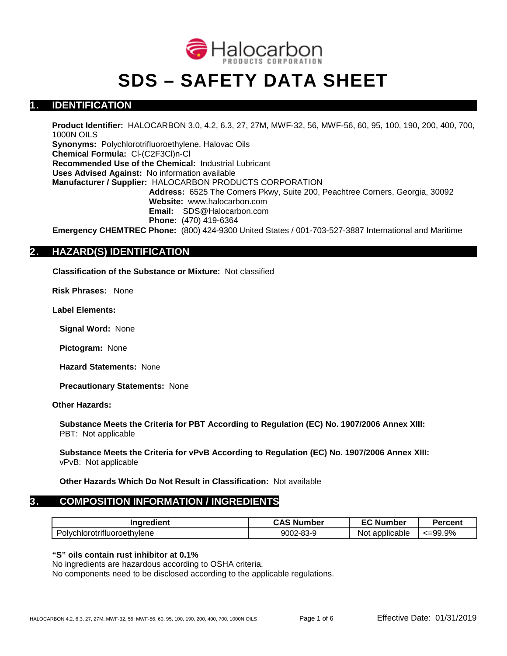

# **SDS – SAFETY DATA SHEET**

## **1. IDENTIFICATION**

**Product Identifier:** HALOCARBON 3.0, 4.2, 6.3, 27, 27M, MWF-32, 56, MWF-56, 60, 95, 100, 190, 200, 400, 700, 1000N OILS

**Synonyms:** Polychlorotrifluoroethylene, Halovac Oils **Chemical Formula:** Cl-(C2F3Cl)n-Cl **Recommended Use of the Chemical:** Industrial Lubricant **Uses Advised Against:** No information available **Manufacturer / Supplier:** HALOCARBON PRODUCTS CORPORATION **Address:** 6525 The Corners Pkwy, Suite 200, Peachtree Corners, Georgia, 30092 **Website:** www.halocarbon.com **Email:** SDS@Halocarbon.com **Phone:** (470) 419-6364 **Emergency CHEMTREC Phone:** (800) 424-9300 United States / 001-703-527-3887 International and Maritime

## **2. HAZARD(S) IDENTIFICATION**

**Classification of the Substance or Mixture:** Not classified

**Risk Phrases:** None

**Label Elements:**

**Signal Word:** None

**Pictogram:** None

**Hazard Statements:** None

**Precautionary Statements:** None

#### **Other Hazards:**

**Substance Meets the Criteria for PBT According to Regulation (EC) No. 1907/2006 Annex XIII:** PBT: Not applicable

**Substance Meets the Criteria for vPvB According to Regulation (EC) No. 1907/2006 Annex XIII:** vPvB: Not applicable

**Other Hazards Which Do Not Result in Classification:** Not available

## **3. COMPOSITION INFORMATION / INGREDIENTS**

| Ingredient                  | <b>CAS Number</b> | <b>EC Number</b> | <b>Percent</b> |
|-----------------------------|-------------------|------------------|----------------|
| Polychlorotrifluoroethylene | 9002-83-9         | Not applicable   | $<=99.9\%$     |

#### **"S" oils contain rust inhibitor at 0.1%**

No ingredients are hazardous according to OSHA criteria.

No components need to be disclosed according to the applicable regulations.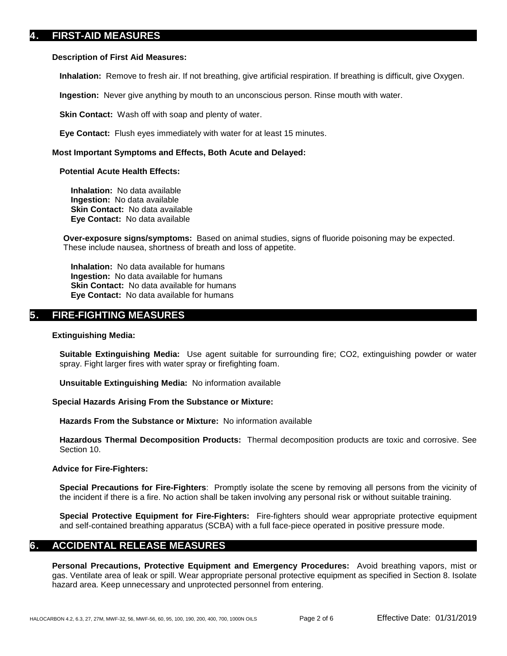## **4. FIRST-AID MEASURES**

#### **Description of First Aid Measures:**

**Inhalation:** Remove to fresh air. If not breathing, give artificial respiration. If breathing is difficult, give Oxygen.

**Ingestion:** Never give anything by mouth to an unconscious person. Rinse mouth with water.

**Skin Contact:** Wash off with soap and plenty of water.

**Eye Contact:** Flush eyes immediately with water for at least 15 minutes.

#### **Most Important Symptoms and Effects, Both Acute and Delayed:**

#### **Potential Acute Health Effects:**

**Inhalation:** No data available **Ingestion:** No data available **Skin Contact:** No data available **Eye Contact:** No data available

**Over-exposure signs/symptoms:** Based on animal studies, signs of fluoride poisoning may be expected. These include nausea, shortness of breath and loss of appetite.

**Inhalation:** No data available for humans **Ingestion:** No data available for humans **Skin Contact:** No data available for humans **Eye Contact:** No data available for humans

## **5. FIRE-FIGHTING MEASURES**

#### **Extinguishing Media:**

**Suitable Extinguishing Media:** Use agent suitable for surrounding fire; CO2, extinguishing powder or water spray. Fight larger fires with water spray or firefighting foam.

**Unsuitable Extinguishing Media:** No information available

#### **Special Hazards Arising From the Substance or Mixture:**

**Hazards From the Substance or Mixture:** No information available

**Hazardous Thermal Decomposition Products:** Thermal decomposition products are toxic and corrosive. See Section 10.

#### **Advice for Fire-Fighters:**

**Special Precautions for Fire-Fighters**: Promptly isolate the scene by removing all persons from the vicinity of the incident if there is a fire. No action shall be taken involving any personal risk or without suitable training.

**Special Protective Equipment for Fire-Fighters:** Fire-fighters should wear appropriate protective equipment and self-contained breathing apparatus (SCBA) with a full face-piece operated in positive pressure mode.

## **6. ACCIDENTAL RELEASE MEASURES**

**Personal Precautions, Protective Equipment and Emergency Procedures:** Avoid breathing vapors, mist or gas. Ventilate area of leak or spill. Wear appropriate personal protective equipment as specified in Section 8. Isolate hazard area. Keep unnecessary and unprotected personnel from entering.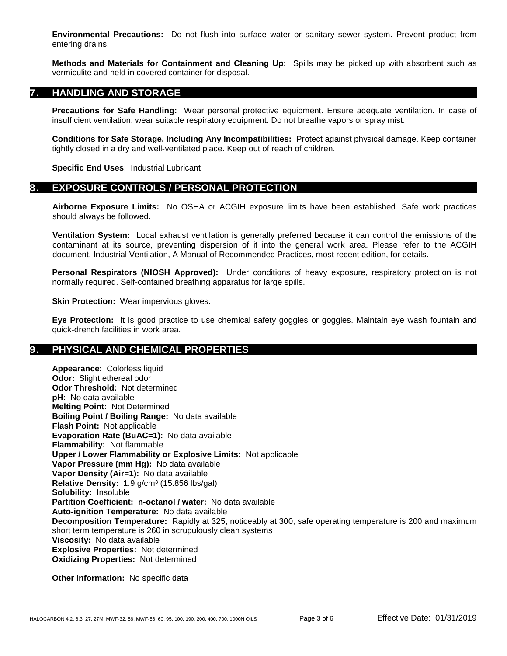**Environmental Precautions:** Do not flush into surface water or sanitary sewer system. Prevent product from entering drains.

**Methods and Materials for Containment and Cleaning Up:** Spills may be picked up with absorbent such as vermiculite and held in covered container for disposal.

## **7. HANDLING AND STORAGE**

**Precautions for Safe Handling:** Wear personal protective equipment. Ensure adequate ventilation. In case of insufficient ventilation, wear suitable respiratory equipment. Do not breathe vapors or spray mist.

**Conditions for Safe Storage, Including Any Incompatibilities:** Protect against physical damage. Keep container tightly closed in a dry and well-ventilated place. Keep out of reach of children.

**Specific End Uses**: Industrial Lubricant

## **8. EXPOSURE CONTROLS / PERSONAL PROTECTION**

**Airborne Exposure Limits:** No OSHA or ACGIH exposure limits have been established. Safe work practices should always be followed.

**Ventilation System:** Local exhaust ventilation is generally preferred because it can control the emissions of the contaminant at its source, preventing dispersion of it into the general work area. Please refer to the ACGIH document, Industrial Ventilation, A Manual of Recommended Practices, most recent edition, for details.

**Personal Respirators (NIOSH Approved):** Under conditions of heavy exposure, respiratory protection is not normally required. Self-contained breathing apparatus for large spills.

**Skin Protection:** Wear impervious gloves.

**Eye Protection:** It is good practice to use chemical safety goggles or goggles. Maintain eye wash fountain and quick-drench facilities in work area.

## **9. PHYSICAL AND CHEMICAL PROPERTIES**

**Appearance:** Colorless liquid **Odor:** Slight ethereal odor **Odor Threshold:** Not determined **pH:** No data available **Melting Point:** Not Determined **Boiling Point / Boiling Range:** No data available **Flash Point:** Not applicable **Evaporation Rate (BuAC=1):** No data available **Flammability:** Not flammable **Upper / Lower Flammability or Explosive Limits:** Not applicable **Vapor Pressure (mm Hg):** No data available **Vapor Density (Air=1):** No data available **Relative Density:** 1.9 g/cm<sup>3</sup> (15.856 lbs/gal) **Solubility:** Insoluble **Partition Coefficient: n-octanol / water:** No data available **Auto-ignition Temperature:** No data available **Decomposition Temperature:** Rapidly at 325, noticeably at 300, safe operating temperature is 200 and maximum short term temperature is 260 in scrupulously clean systems **Viscosity:** No data available **Explosive Properties:** Not determined **Oxidizing Properties:** Not determined

**Other Information:** No specific data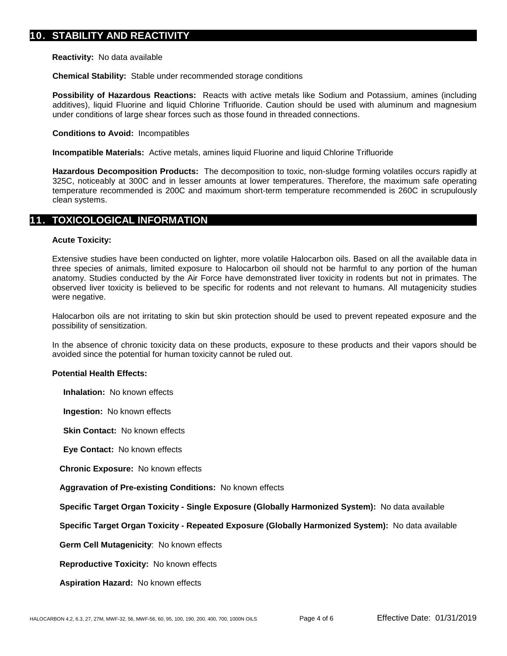**Reactivity:** No data available

**Chemical Stability:** Stable under recommended storage conditions

**Possibility of Hazardous Reactions:** Reacts with active metals like Sodium and Potassium, amines (including additives), liquid Fluorine and liquid Chlorine Trifluoride. Caution should be used with aluminum and magnesium under conditions of large shear forces such as those found in threaded connections.

#### **Conditions to Avoid:** Incompatibles

**Incompatible Materials:** Active metals, amines liquid Fluorine and liquid Chlorine Trifluoride

**Hazardous Decomposition Products:** The decomposition to toxic, non-sludge forming volatiles occurs rapidly at 325C, noticeably at 300C and in lesser amounts at lower temperatures. Therefore, the maximum safe operating temperature recommended is 200C and maximum short-term temperature recommended is 260C in scrupulously clean systems.

### **11. TOXICOLOGICAL INFORMATION**

#### **Acute Toxicity:**

Extensive studies have been conducted on lighter, more volatile Halocarbon oils. Based on all the available data in three species of animals, limited exposure to Halocarbon oil should not be harmful to any portion of the human anatomy. Studies conducted by the Air Force have demonstrated liver toxicity in rodents but not in primates. The observed liver toxicity is believed to be specific for rodents and not relevant to humans. All mutagenicity studies were negative.

Halocarbon oils are not irritating to skin but skin protection should be used to prevent repeated exposure and the possibility of sensitization.

In the absence of chronic toxicity data on these products, exposure to these products and their vapors should be avoided since the potential for human toxicity cannot be ruled out.

#### **Potential Health Effects:**

**Inhalation:** No known effects

**Ingestion:** No known effects

**Skin Contact:** No known effects

**Eye Contact:** No known effects

**Chronic Exposure:** No known effects

**Aggravation of Pre-existing Conditions:** No known effects

**Specific Target Organ Toxicity - Single Exposure (Globally Harmonized System):** No data available

**Specific Target Organ Toxicity - Repeated Exposure (Globally Harmonized System):** No data available

**Germ Cell Mutagenicity**: No known effects

**Reproductive Toxicity:** No known effects

**Aspiration Hazard:** No known effects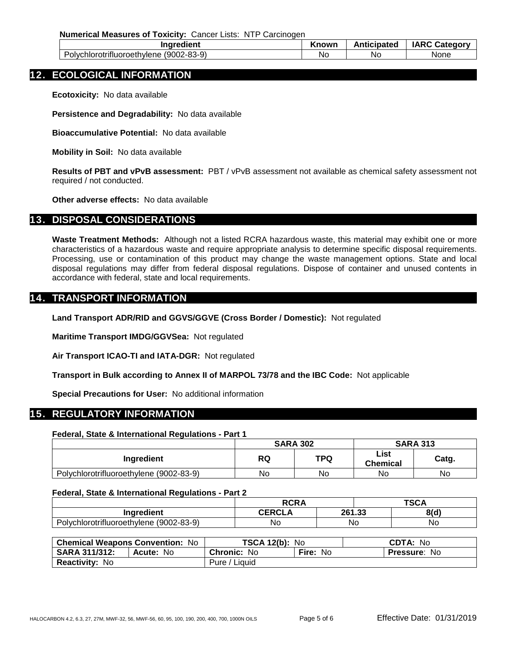**Numerical Measures of Toxicity:** Cancer Lists: NTP Carcinogen

| Ingredient                              |                   | Known     | Anticipated<br>$\sim$ $\sim$ $\sim$ | IARC C:<br>. .atc |
|-----------------------------------------|-------------------|-----------|-------------------------------------|-------------------|
| oethvlene:<br>nını<br>oiv<br>ΩT<br>זנזו | $(9002 - 83 - 9)$ | <b>NC</b> | No                                  | None              |

## **12. ECOLOGICAL INFORMATION**

**Ecotoxicity:** No data available

**Persistence and Degradability:** No data available

**Bioaccumulative Potential:** No data available

**Mobility in Soil:** No data available

**Results of PBT and vPvB assessment:** PBT / vPvB assessment not available as chemical safety assessment not required / not conducted.

**Other adverse effects:** No data available

### **13. DISPOSAL CONSIDERATIONS**

**Waste Treatment Methods:** Although not a listed RCRA hazardous waste, this material may exhibit one or more characteristics of a hazardous waste and require appropriate analysis to determine specific disposal requirements. Processing, use or contamination of this product may change the waste management options. State and local disposal regulations may differ from federal disposal regulations. Dispose of container and unused contents in accordance with federal, state and local requirements.

## **14. TRANSPORT INFORMATION**

**Land Transport ADR/RID and GGVS/GGVE (Cross Border / Domestic):** Not regulated

**Maritime Transport IMDG/GGVSea:** Not regulated

**Air Transport ICAO-TI and IATA-DGR:** Not regulated

**Transport in Bulk according to Annex II of MARPOL 73/78 and the IBC Code:** Not applicable

**Special Precautions for User:** No additional information

## **15. REGULATORY INFORMATION**

#### **Federal, State & International Regulations - Part 1**

|                                         | <b>SARA 302</b> |     | <b>SARA 313</b>         |       |
|-----------------------------------------|-----------------|-----|-------------------------|-------|
| Ingredient                              | RQ              | TPQ | List<br><b>Chemical</b> | Catg. |
| Polychlorotrifluoroethylene (9002-83-9) | No              | No  | No                      | No    |

#### **Federal, State & International Regulations - Part 2**

|                                                                          | <b>RCRA</b>  | TOO A<br>OUA |      |      |  |
|--------------------------------------------------------------------------|--------------|--------------|------|------|--|
| Ingredient                                                               | <b>CEDC'</b> | 261.22<br>ΖU | נים. | 8(d) |  |
| (9002-83-9)<br>ിയവ.<br>rotrifluoroethvlene<br>$\sim$ Loughborhood $\sim$ | No           | No           |      | No   |  |

| <b>Chemical Weapons Convention: No</b> |                  | <b>TSCA 12(b): No</b> |                 | CDTA: No            |  |
|----------------------------------------|------------------|-----------------------|-----------------|---------------------|--|
| <b>SARA 311/312:</b>                   | <b>Acute: No</b> | <b>Chronic: No</b>    | <b>Fire: No</b> | <b>Pressure: No</b> |  |
| <b>Reactivity: No</b>                  |                  | Pure / Liquid         |                 |                     |  |